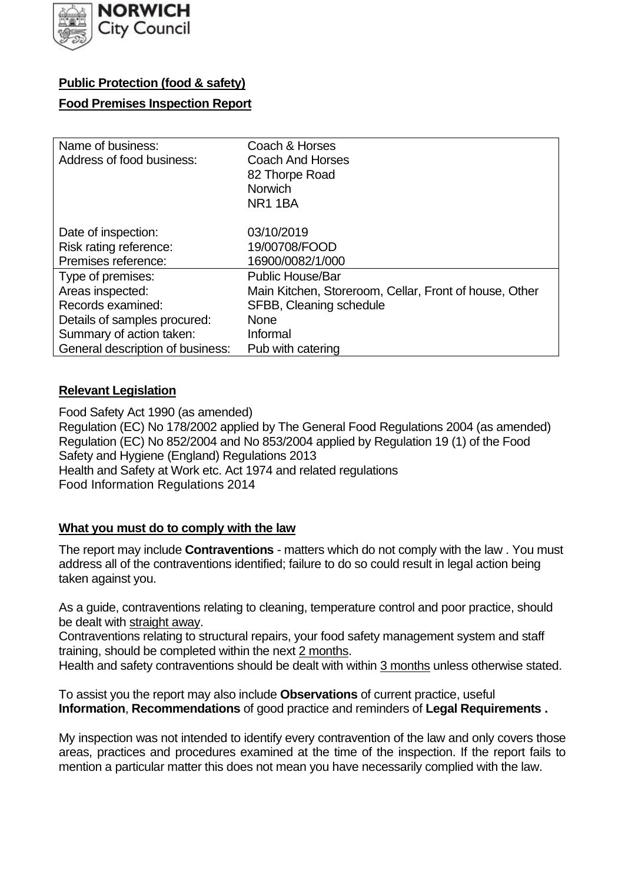

# **Public Protection (food & safety)**

#### **Food Premises Inspection Report**

| Name of business:                | Coach & Horses                                         |
|----------------------------------|--------------------------------------------------------|
| Address of food business:        | <b>Coach And Horses</b>                                |
|                                  | 82 Thorpe Road                                         |
|                                  | <b>Norwich</b>                                         |
|                                  | <b>NR1 1BA</b>                                         |
| Date of inspection:              | 03/10/2019                                             |
| Risk rating reference:           | 19/00708/FOOD                                          |
| Premises reference:              | 16900/0082/1/000                                       |
| Type of premises:                | <b>Public House/Bar</b>                                |
| Areas inspected:                 | Main Kitchen, Storeroom, Cellar, Front of house, Other |
| Records examined:                | SFBB, Cleaning schedule                                |
| Details of samples procured:     | <b>None</b>                                            |
| Summary of action taken:         | Informal                                               |
| General description of business: | Pub with catering                                      |

# **Relevant Legislation**

 Food Safety Act 1990 (as amended) Regulation (EC) No 178/2002 applied by The General Food Regulations 2004 (as amended) Regulation (EC) No 852/2004 and No 853/2004 applied by Regulation 19 (1) of the Food Safety and Hygiene (England) Regulations 2013 Health and Safety at Work etc. Act 1974 and related regulations Food Information Regulations 2014

# **What you must do to comply with the law**

 The report may include **Contraventions** - matters which do not comply with the law . You must address all of the contraventions identified; failure to do so could result in legal action being taken against you.

 As a guide, contraventions relating to cleaning, temperature control and poor practice, should be dealt with straight away.

 Contraventions relating to structural repairs, your food safety management system and staff training, should be completed within the next 2 months.

Health and safety contraventions should be dealt with within 3 months unless otherwise stated.

 To assist you the report may also include **Observations** of current practice, useful **Information**, **Recommendations** of good practice and reminders of **Legal Requirements .** 

 My inspection was not intended to identify every contravention of the law and only covers those areas, practices and procedures examined at the time of the inspection. If the report fails to mention a particular matter this does not mean you have necessarily complied with the law.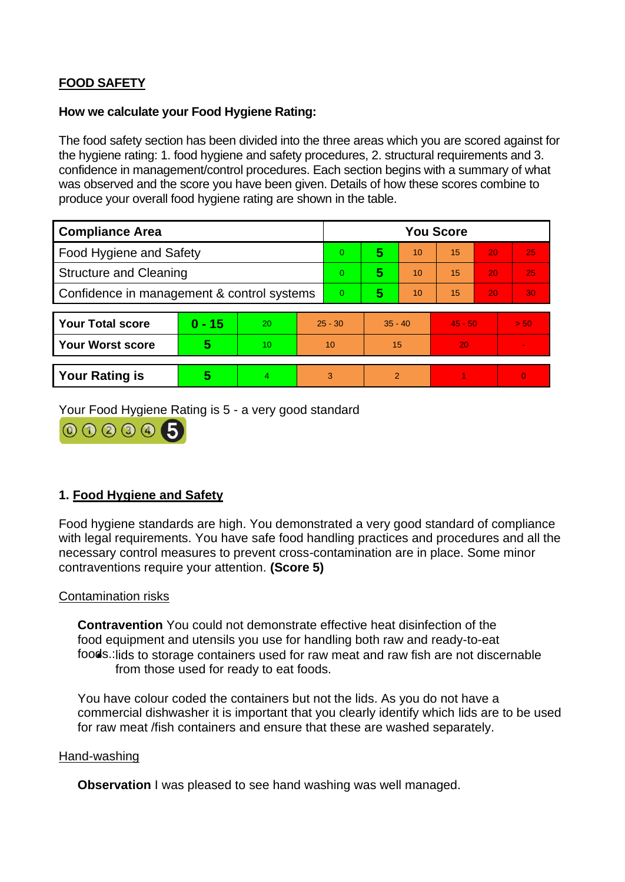# **FOOD SAFETY**

#### **How we calculate your Food Hygiene Rating:**

 The food safety section has been divided into the three areas which you are scored against for the hygiene rating: 1. food hygiene and safety procedures, 2. structural requirements and 3. confidence in management/control procedures. Each section begins with a summary of what was observed and the score you have been given. Details of how these scores combine to produce your overall food hygiene rating are shown in the table.

| <b>Compliance Area</b>                     |          |    |           | <b>You Score</b> |                |    |           |    |                |  |  |
|--------------------------------------------|----------|----|-----------|------------------|----------------|----|-----------|----|----------------|--|--|
| Food Hygiene and Safety                    |          |    | $\Omega$  | 5                | 10             | 15 | 20        | 25 |                |  |  |
| <b>Structure and Cleaning</b>              |          |    | $\Omega$  | 5                | 10             | 15 | 20        | 25 |                |  |  |
| Confidence in management & control systems |          |    | $\Omega$  | 5                | 10             | 15 | 20        | 30 |                |  |  |
|                                            |          |    |           |                  |                |    |           |    |                |  |  |
| <b>Your Total score</b>                    | $0 - 15$ | 20 | $25 - 30$ |                  | $35 - 40$      |    | $45 - 50$ |    | > 50           |  |  |
| Your Worst score                           | 5        | 10 | 10        |                  | 15             |    | 20        |    | $\blacksquare$ |  |  |
|                                            |          |    |           |                  |                |    |           |    |                |  |  |
| <b>Your Rating is</b>                      | 5        | 4  | 3         |                  | $\overline{2}$ |    |           |    | $\Omega$       |  |  |

Your Food Hygiene Rating is 5 - a very good standard



# **1. Food Hygiene and Safety**

 with legal requirements. You have safe food handling practices and procedures and all the Food hygiene standards are high. You demonstrated a very good standard of compliance necessary control measures to prevent cross-contamination are in place. Some minor contraventions require your attention. **(Score 5)** 

#### Contamination risks

**Contravention** You could not demonstrate effective heat disinfection of the food equipment and utensils you use for handling both raw and ready-to-eat foods.: lids to storage containers used for raw meat and raw fish are not discernable from those used for ready to eat foods.

 You have colour coded the containers but not the lids. As you do not have a commercial dishwasher it is important that you clearly identify which lids are to be used for raw meat /fish containers and ensure that these are washed separately.

#### Hand-washing

**Observation** I was pleased to see hand washing was well managed.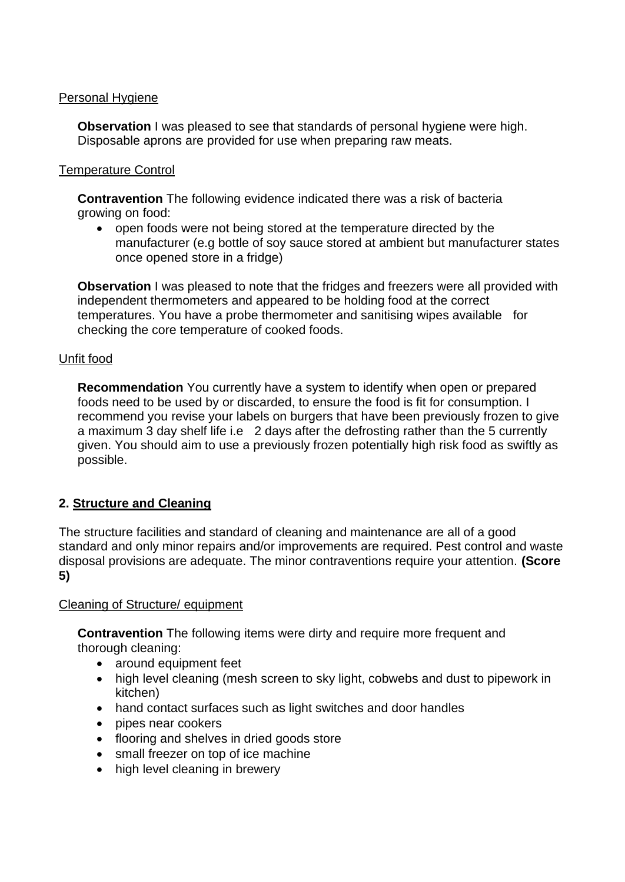### Personal Hygiene

**Observation** I was pleased to see that standards of personal hygiene were high. Disposable aprons are provided for use when preparing raw meats.

### Temperature Control

 **Contravention** The following evidence indicated there was a risk of bacteria growing on food:

 • open foods were not being stored at the temperature directed by the manufacturer (e.g bottle of soy sauce stored at ambient but manufacturer states once opened store in a fridge)

 **Observation** I was pleased to note that the fridges and freezers were all provided with independent thermometers and appeared to be holding food at the correct temperatures. You have a probe thermometer and sanitising wipes available for checking the core temperature of cooked foods.

### Unfit food

 foods need to be used by or discarded, to ensure the food is fit for consumption. I a maximum 3 day shelf life i.e 2 days after the defrosting rather than the 5 currently given. You should aim to use a previously frozen potentially high risk food as swiftly as **Recommendation** You currently have a system to identify when open or prepared recommend you revise your labels on burgers that have been previously frozen to give possible.

# **2. Structure and Cleaning**

 The structure facilities and standard of cleaning and maintenance are all of a good standard and only minor repairs and/or improvements are required. Pest control and waste disposal provisions are adequate. The minor contraventions require your attention. **(Score 5)** 

#### Cleaning of Structure/ equipment

**Contravention** The following items were dirty and require more frequent and thorough cleaning:

- around equipment feet
- high level cleaning (mesh screen to sky light, cobwebs and dust to pipework in kitchen)
- hand contact surfaces such as light switches and door handles
- pipes near cookers
- flooring and shelves in dried goods store
- small freezer on top of ice machine
- high level cleaning in brewery